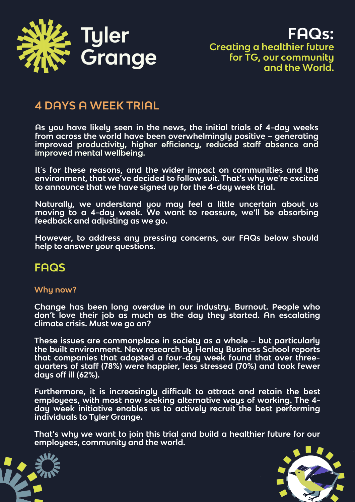

**FAQs: Creating a healthier future for TG, our community and the World.**

# **4 DAYS A WEEK TRIAL**

**As you have likely seen in the news, the initial trials of 4-day weeks from across the world have been overwhelmingly positive – generating improved productivity, higher efficiency, reduced staff absence and improved mental wellbeing.**

**It's for these reasons, and the wider impact on communities and the environment, that we've decided to follow suit. That's why we're excited to announce that we have signed up for the 4-day week trial.**

**Naturally, we understand you may feel a little uncertain about us moving to a 4-day week. We want to reassure, we'll be absorbing feedback and adjusting as we go.**

**However, to address any pressing concerns, our FAQs below should help to answer your questions.**

## **FAQS**

### **Why now?**

**Change has been long overdue in our industry. Burnout. People who don't love their job as much as the day they started. An escalating climate crisis. Must we go on?**

**These issues are commonplace in society as a whole – but particularly the built environment. New research by Henley Business School reports that companies that adopted a four-day week found that over threequarters of staff (78%) were happier, less stressed (70%) and took fewer days off ill (62%).**

**Furthermore, it is increasingly difficult to attract and retain the best employees, with most now seeking alternative ways of working. The 4 day week initiative enables us to actively recruit the best performing individuals to Tyler Grange.**

**That's why we want to join this trial and build a healthier future for our employees, community and the world.**



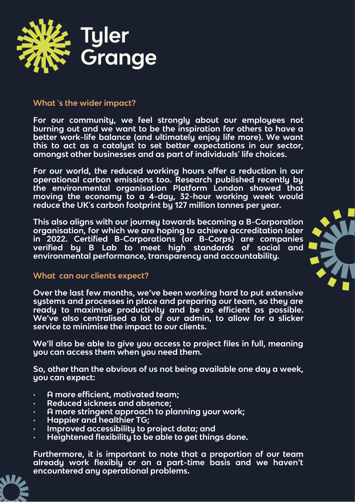

#### **What 's the wider impact?**

**For our community, we feel strongly about our employees not burning out and we want to be the inspiration for others to have a better work-life balance (and ultimately enjoy life more). We want this to act as a catalyst to set better expectations in our sector, amongst other businesses and as part of individuals' life choices.**

**For our world, the reduced working hours offer a reduction in our operational carbon emissions too. Research published recently by the environmental organisation Platform London showed that moving the economy to a 4-day, 32-hour working week would reduce the UK's carbon footprint by 127 million tonnes per year.**

**This also aligns with our journey towards becoming a B-Corporation organisation, for which we are hoping to achieve accreditation later in 2022. Certified B-Corporations (or B-Corps) are companies verified by B Lab to meet high standards of social and environmental performance, transparency and accountability.**



#### **What can our clients expect?**

**Over the last few months, we've been working hard to put extensive systems and processes in place and preparing our team, so they are ready to maximise productivity and be as efficient as possible. We've also centralised a lot of our admin, to allow for a slicker service to minimise the impact to our clients.**

**We'll also be able to give you access to project files in full, meaning you can access them when you need them.**

**So, other than the obvious of us not being available one day a week, you can expect:**

- **· A more efficient, motivated team;**
- **· Reduced sickness and absence;**
- **· A more stringent approach to planning your work;**
- **· Happier and healthier TG;**
- **· Improved accessibility to project data; and**
- **· Heightened flexibility to be able to get things done.**

**Furthermore, it is important to note that a proportion of our team already work flexibly or on a part-time basis and we haven't encountered any operational problems.**

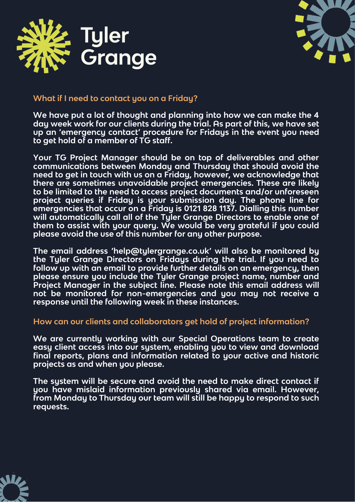



### **What if I need to contact you on a Friday?**

**We have put a lot of thought and planning into how we can make the 4 day week work for our clients during the trial. As part of this, we have set up an 'emergency contact' procedure for Fridays in the event you need to get hold of a member of TG staff.**

**Your TG Project Manager should be on top of deliverables and other communications between Monday and Thursday that should avoid the need to get in touch with us on a Friday, however, we acknowledge that there are sometimes unavoidable project emergencies. These are likely to be limited to the need to access project documents and/or unforeseen project queries if Friday is your submission day. The phone line for emergencies that occur on a Friday is 0121 828 1137. Dialling this number will automatically call all of the Tyler Grange Directors to enable one of them to assist with your query. We would be very grateful if you could please avoid the use of this number for any other purpose.**

**The email address 'help@tylergrange.co.uk' will also be monitored by the Tyler Grange Directors on Fridays during the trial. If you need to follow up with an email to provide further details on an emergency, then please ensure you include the Tyler Grange project name, number and Project Manager in the subject line. Please note this email address will not be monitored for non-emergencies and you may not receive a response until the following week in these instances.**

#### **How can our clients and collaborators get hold of project information?**

**We are currently working with our Special Operations team to create easy client access into our system, enabling you to view and download final reports, plans and information related to your active and historic projects as and when you please.**

**The system will be secure and avoid the need to make direct contact if you have mislaid information previously shared via email. However, from Monday to Thursday our team will still be happy to respond to such requests.**